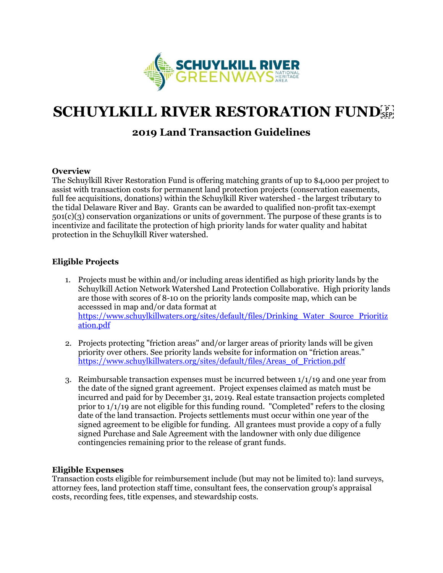

# **SCHUYLKILL RIVER RESTORATION FUNDER**

# **2019 Land Transaction Guidelines**

#### **Overview**

The Schuylkill River Restoration Fund is offering matching grants of up to \$4,000 per project to assist with transaction costs for permanent land protection projects (conservation easements, full fee acquisitions, donations) within the Schuylkill River watershed - the largest tributary to the tidal Delaware River and Bay. Grants can be awarded to qualified non-profit tax-exempt 501(c)(3) conservation organizations or units of government. The purpose of these grants is to incentivize and facilitate the protection of high priority lands for water quality and habitat protection in the Schuylkill River watershed.

## **Eligible Projects**

- 1. Projects must be within and/or including areas identified as high priority lands by the Schuylkill Action Network Watershed Land Protection Collaborative. High priority lands are those with scores of 8-10 on the priority lands composite map, which can be accesssed in map and/or data format at [https://www.schuylkillwaters.org/sites/default/files/Drinking\\_Water\\_Source\\_Prioritiz](https://www.schuylkillwaters.org/sites/default/files/Drinking_Water_Source_Prioritization.pdf) [ation.pdf](https://www.schuylkillwaters.org/sites/default/files/Drinking_Water_Source_Prioritization.pdf)
- 2. Projects protecting "friction areas" and/or larger areas of priority lands will be given priority over others. See priority lands website for information on "friction areas." [https://www.schuylkillwaters.org/sites/default/files/Areas\\_of\\_Friction.pdf](https://www.schuylkillwaters.org/sites/default/files/Areas_of_Friction.pdf)
- 3. Reimbursable transaction expenses must be incurred between 1/1/19 and one year from the date of the signed grant agreement. Project expenses claimed as match must be incurred and paid for by December 31, 2019. Real estate transaction projects completed prior to 1/1/19 are not eligible for this funding round. "Completed" refers to the closing date of the land transaction. Projects settlements must occur within one year of the signed agreement to be eligible for funding. All grantees must provide a copy of a fully signed Purchase and Sale Agreement with the landowner with only due diligence contingencies remaining prior to the release of grant funds.

## **Eligible Expenses**

Transaction costs eligible for reimbursement include (but may not be limited to): land surveys, attorney fees, land protection staff time, consultant fees, the conservation group's appraisal costs, recording fees, title expenses, and stewardship costs.